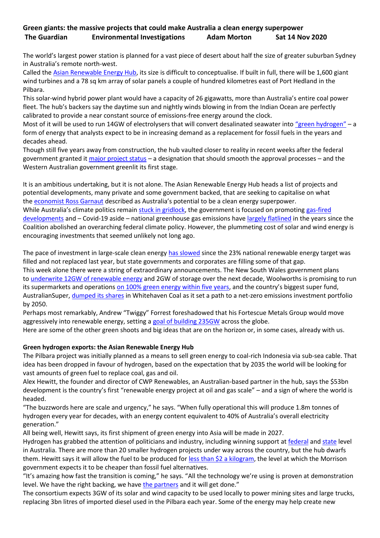# **Green giants: the massive projects that could make Australia a clean energy superpower The Guardian Environmental Investigations Adam Morton Sat 14 Nov 2020**

The world's largest power station is planned for a vast piece of desert about half the size of greater suburban Sydney in Australia's remote north-west.

Called the [Asian Renewable Energy Hub,](https://asianrehub.com/) its size is difficult to conceptualise. If built in full, there will be 1,600 giant wind turbines and a 78 sq km array of solar panels a couple of hundred kilometres east of Port Hedland in the Pilbara.

This solar-wind hybrid power plant would have a capacity of 26 gigawatts, more than Australia's entire coal power fleet. The hub's backers say the daytime sun and nightly winds blowing in from the Indian Ocean are perfectly calibrated to provide a near constant source of emissions-free energy around the clock.

Most of it will be used to run 14GW of electrolysers that will convert desalinated seawater into ["green hydrogen"](https://www.theguardian.com/environment/2020/oct/03/green-hydrogen-from-renewables-could-become-cheapest-transformative-fuel-within-a-decade) – a form of energy that analysts expect to be in increasing demand as a replacement for fossil fuels in the years and decades ahead.

Though still five years away from construction, the hub vaulted closer to reality in recent weeks after the federal government granted it [major project status](https://business.gov.au/Grants-and-Programs/Major-Project-Status#:~:text=Major%20Project%20Status%20is%20the,Projects%20Facilitation%20Agency%20(MPFA).) – a designation that should smooth the approval processes – and the Western Australian government greenlit its first stage.

It is an ambitious undertaking, but it is not alone. The Asian Renewable Energy Hub heads a list of projects and potential developments, many private and some government backed, that are seeking to capitalise on what the [economist Ross Garnaut](https://www.theguardian.com/australia-news/2019/nov/06/ross-garnaut-three-policies-will-set-australia-on-a-path-to-100-renewable-energy) described as Australia's potential to be a clean energy superpower. While Australia's climate politics remain [stuck in gridlock,](https://www.theguardian.com/environment/2020/aug/28/climate-crisis-business-farming-and-environment-leaders-unite-to-warn-australia-woefully-unprepared) the government is focused on promoting gas-fired [developments](https://www.theguardian.com/environment/2020/sep/17/scott-morrisons-gas-led-recovery-what-is-it-and-will-it-really-make-energy-cheaper) and – Covid-19 aside – national greenhouse gas emissions have [largely flatlined](https://www.theguardian.com/australia-news/2020/may/29/australias-greenhouse-gas-emissions-fall-slightly-as-new-clean-energy-comes-online) in the years since the Coalition abolished an overarching federal climate policy. However, the plummeting cost of solar and wind energy is encouraging investments that seemed unlikely not long ago.

The pace of investment in large-scale clean energy [has slowed](https://www.theguardian.com/australia-news/2020/may/15/australias-reserve-bank-fuels-call-for-post-pandemic-renewables-push) since the 23% national renewable energy target was filled and not replaced last year, but state governments and corporates are filling some of that gap. This week alone there were a string of extraordinary announcements. The New South Wales government plans to [underwrite 12GW of renewable energy](https://www.theguardian.com/australia-news/2020/nov/10/nsw-promises-to-build-more-renewable-energy-than-victoria-and-queensland-combined) and 2GW of storage over the next decade, Woolworths is promising to run its supermarkets and operations [on 100% green energy within five years](https://www.canberratimes.com.au/story/7009306/woolworths-commits-to-green-energy-by-2025/?cs=14264), and the country's biggest super fund, AustralianSuper, [dumped its shares](https://www.smh.com.au/business/banking-and-finance/australiansuper-dumps-whitehaven-coal-commits-to-net-zero-by-2050-20201112-p56e0h.html) in Whitehaven Coal as it set a path to a net-zero emissions investment portfolio by 2050.

Perhaps most remarkably, Andrew "Twiggy" Forrest foreshadowed that his Fortescue Metals Group would move aggressively into renewable energy, setting a [goal of building 235GW](https://www.smh.com.au/business/companies/fortescue-to-expand-into-renewables-with-green-energy-arm-20201111-p56dnx.html) across the globe.

Here are some of the other green shoots and big ideas that are on the horizon or, in some cases, already with us.

# **Green hydrogen exports: the Asian Renewable Energy Hub**

The Pilbara project was initially planned as a means to sell green energy to coal-rich Indonesia via sub-sea cable. That idea has been dropped in favour of hydrogen, based on the expectation that by 2035 the world will be looking for vast amounts of green fuel to replace coal, gas and oil.

Alex Hewitt, the founder and director of CWP Renewables, an Australian-based partner in the hub, says the \$53bn development is the country's first "renewable energy project at oil and gas scale" – and a sign of where the world is headed.

"The buzzwords here are scale and urgency," he says. "When fully operational this will produce 1.8m tonnes of hydrogen every year for decades, with an energy content equivalent to 40% of Australia's overall electricity generation."

All being well, Hewitt says, its first shipment of green energy into Asia will be made in 2027.

Hydrogen has grabbed the attention of politicians and industry, including winning support at [federal](https://www.theguardian.com/australia-news/2020/may/04/government-offers-300m-hydrogen-investment-clean-energy-finance-corporation) and [state](https://www.pv-magazine-australia.com/2020/11/06/south-australia-on-the-front-foot-with-240-million-green-hydrogen-export-project/) level in Australia. There are more than 20 smaller hydrogen projects under way across the country, but the hub dwarfs them. Hewitt says it will allow the fuel to be produced for [less than \\$2 a kilogram,](https://www.theguardian.com/australia-news/2020/sep/22/morrisons-tech-roadmap-flags-more-investment-in-carbon-capture-and-storage) the level at which the Morrison government expects it to be cheaper than fossil fuel alternatives.

"It's amazing how fast the transition is coming," he says. "All the technology we're using is proven at demonstration level. We have the right backing, we have [the partners](https://asianrehub.com/about/) and it will get done."

The consortium expects 3GW of its solar and wind capacity to be used locally to power mining sites and large trucks, replacing 3bn litres of imported diesel used in the Pilbara each year. Some of the energy may help create new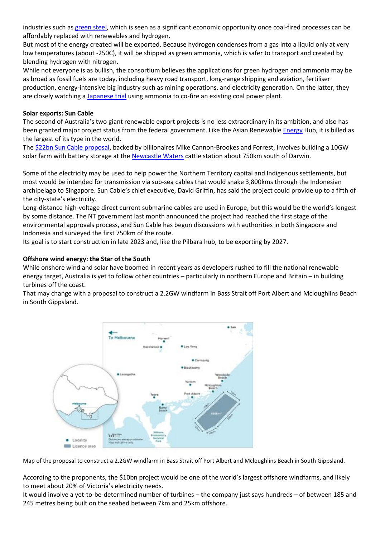industries such as [green steel,](https://www.theguardian.com/business/2020/may/11/green-steel-industry-could-secure-jobs-future-for-australias-coalmining-heartland) which is seen as a significant economic opportunity once coal-fired processes can be affordably replaced with renewables and hydrogen.

But most of the energy created will be exported. Because hydrogen condenses from a gas into a liquid only at very low temperatures (about -250C), it will be shipped as green ammonia, which is safer to transport and created by blending hydrogen with nitrogen.

While not everyone is as bullish, the consortium believes the applications for green hydrogen and ammonia may be as broad as fossil fuels are today, including heavy road transport, long-range shipping and aviation, fertiliser production, energy-intensive big industry such as mining operations, and electricity generation. On the latter, they are closely watching a [Japanese trial](https://www.powermag.com/jera-planning-to-shift-coal-power-fleet-to-100-ammonia/) using ammonia to co-fire an existing coal power plant.

# **Solar exports: Sun Cable**

The second of Australia's two giant renewable export projects is no less extraordinary in its ambition, and also has been granted major project status from the federal government. Like the Asian Renewable [Energy](https://www.theguardian.com/environment/energy) Hub, it is billed as the largest of its type in the world.

The [\\$22bn Sun Cable proposal,](https://www.theguardian.com/environment/2019/jul/14/just-a-matter-of-when-the-20bn-plan-to-power-singapore-with-australian-solar) backed by billionaires Mike Cannon-Brookes and Forrest, involves building a 10GW solar farm with battery storage at the [Newcastle Waters](https://www.theguardian.com/environment/2020/oct/21/australian-outback-cattle-station-to-house-worlds-largest-solar-farm-powering-singapore) cattle station about 750km south of Darwin.

Some of the electricity may be used to help power the Northern Territory capital and Indigenous settlements, but most would be intended for transmission via sub-sea cables that would snake 3,800kms through the Indonesian archipelago to Singapore. Sun Cable's chief executive, David Griffin, has said the project could provide up to a fifth of the city-state's electricity.

Long-distance high-voltage direct current submarine cables are used in Europe, but this would be the world's longest by some distance. The NT government last month announced the project had reached the first stage of the environmental approvals process, and Sun Cable has begun discussions with authorities in both Singapore and Indonesia and surveyed the first 750km of the route.

Its goal is to start construction in late 2023 and, like the Pilbara hub, to be exporting by 2027.

# **Offshore wind energy: the Star of the South**

While onshore wind and solar have boomed in recent years as developers rushed to fill the national renewable energy target, Australia is yet to follow other countries – particularly in northern Europe and Britain – in building turbines off the coast.

That may change with a proposal to construct a 2.2GW windfarm in Bass Strait off Port Albert and Mcloughlins Beach in South Gippsland.



Map of the proposal to construct a 2.2GW windfarm in Bass Strait off Port Albert and Mcloughlins Beach in South Gippsland.

According to the proponents, the \$10bn project would be one of the world's largest offshore windfarms, and likely to meet about 20% of Victoria's electricity needs.

It would involve a yet-to-be-determined number of turbines – the company just says hundreds – of between 185 and 245 metres being built on the seabed between 7km and 25km offshore.